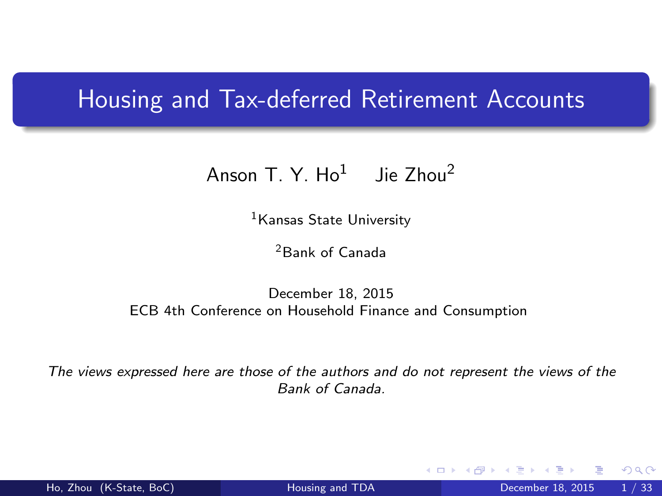### Housing and Tax-deferred Retirement Accounts

### Anson T. Y.  $Ho<sup>1</sup>$  Jie Zhou<sup>2</sup>

<sup>1</sup>Kansas State University

<span id="page-0-0"></span><sup>2</sup>Bank of Canada

#### December 18, 2015 ECB 4th Conference on Household Finance and Consumption

The views expressed here are those of the authors and do not represent the views of the Bank of Canada.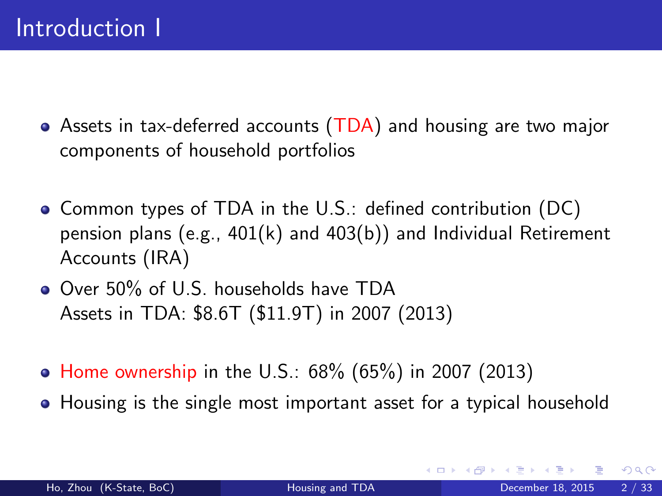- Assets in tax-deferred accounts (TDA) and housing are two major components of household portfolios
- Common types of TDA in the U.S.: defined contribution (DC) pension plans (e.g., 401(k) and 403(b)) and Individual Retirement Accounts (IRA)
- Over 50% of U.S. households have TDA Assets in TDA: \$8.6T (\$11.9T) in 2007 (2013)
- Home ownership in the U.S.:  $68\%$  (65%) in 2007 (2013)
- Housing is the single most important asset for a typical household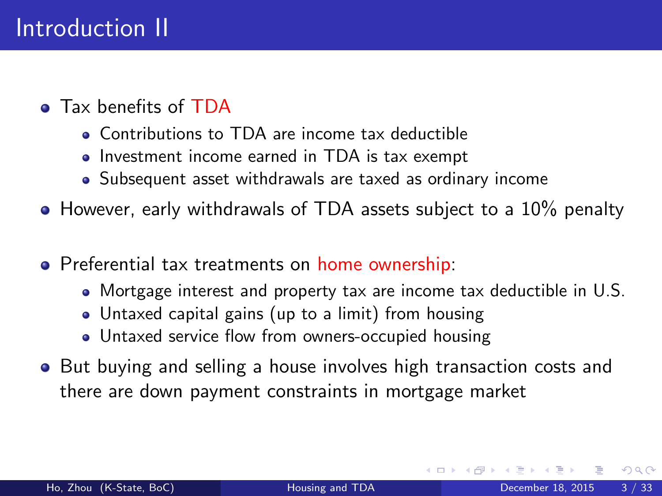- **a** Tax henefits of TDA
	- Contributions to TDA are income tax deductible
	- Investment income earned in TDA is tax exempt
	- Subsequent asset withdrawals are taxed as ordinary income
- However, early withdrawals of TDA assets subject to a 10% penalty
- **•** Preferential tax treatments on home ownership:
	- Mortgage interest and property tax are income tax deductible in U.S.
	- Untaxed capital gains (up to a limit) from housing
	- Untaxed service flow from owners-occupied housing
- But buying and selling a house involves high transaction costs and there are down payment constraints in mortgage market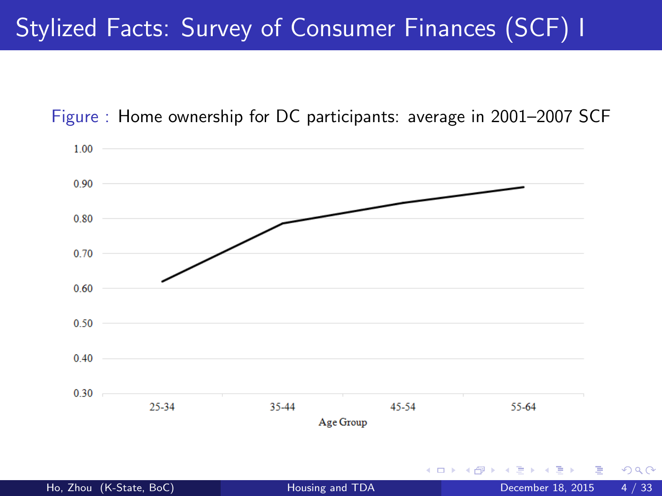# Stylized Facts: Survey of Consumer Finances (SCF) I

Figure : Home ownership for DC participants: average in 2001–2007 SCF

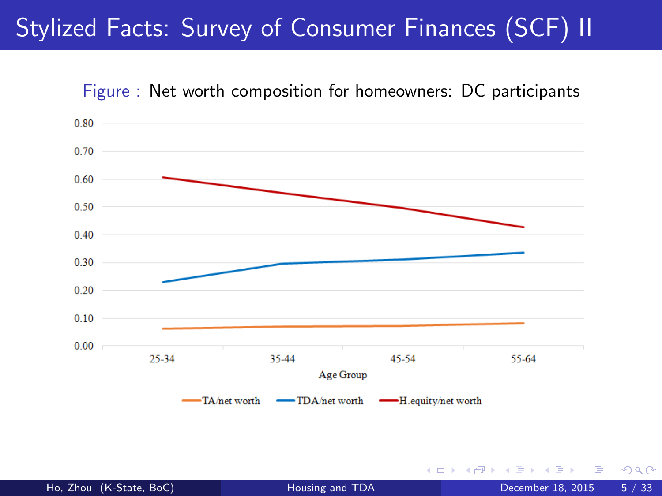# Stylized Facts: Survey of Consumer Finances (SCF) II





4 D F

 $QQ$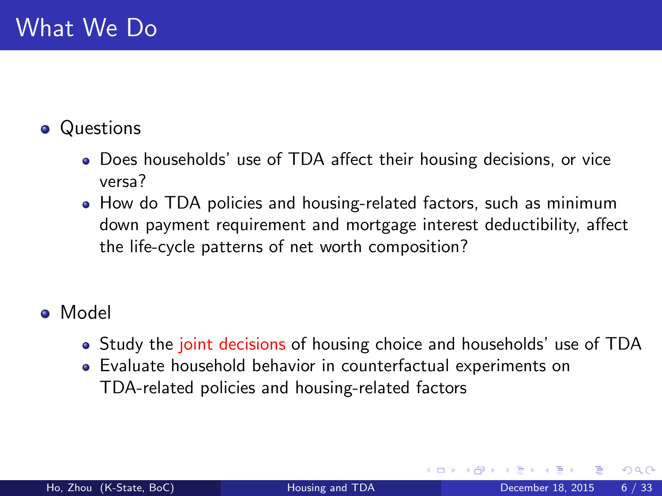### **•** Questions

- Does households' use of TDA affect their housing decisions, or vice versa?
- How do TDA policies and housing-related factors, such as minimum down payment requirement and mortgage interest deductibility, affect the life-cycle patterns of net worth composition?
- Model
	- Study the joint decisions of housing choice and households' use of TDA
	- Evaluate household behavior in counterfactual experiments on TDA-related policies and housing-related factors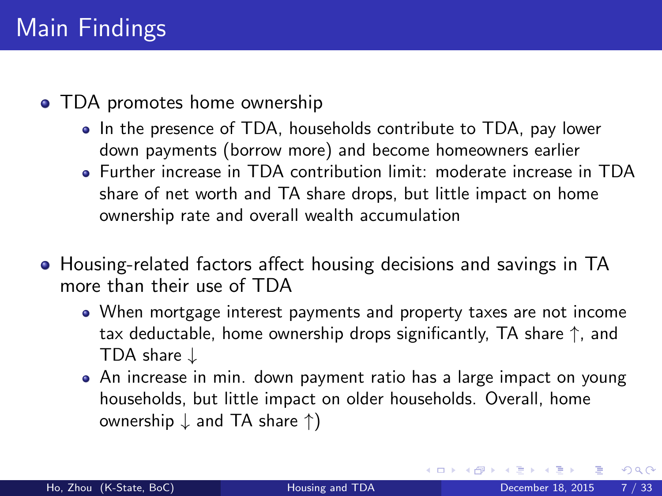#### • TDA promotes home ownership

- In the presence of TDA, households contribute to TDA, pay lower down payments (borrow more) and become homeowners earlier
- Further increase in TDA contribution limit: moderate increase in TDA share of net worth and TA share drops, but little impact on home ownership rate and overall wealth accumulation
- Housing-related factors affect housing decisions and savings in TA more than their use of TDA
	- When mortgage interest payments and property taxes are not income tax deductable, home ownership drops significantly, TA share ↑, and TDA share ↓
	- An increase in min. down payment ratio has a large impact on young households, but little impact on older households. Overall, home ownership ↓ and TA share ↑)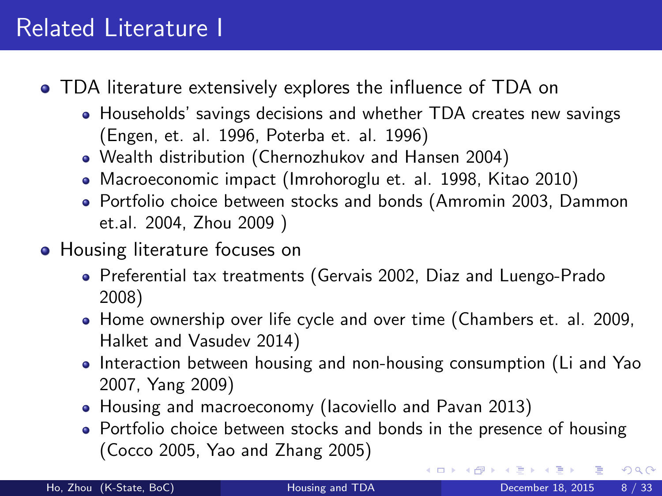## Related Literature I

- TDA literature extensively explores the influence of TDA on
	- Households' savings decisions and whether TDA creates new savings (Engen, et. al. 1996, Poterba et. al. 1996)
	- Wealth distribution (Chernozhukov and Hansen 2004)
	- Macroeconomic impact (Imrohoroglu et. al. 1998, Kitao 2010)
	- Portfolio choice between stocks and bonds (Amromin 2003, Dammon et.al. 2004, Zhou 2009 )
- Housing literature focuses on
	- Preferential tax treatments (Gervais 2002, Diaz and Luengo-Prado 2008)
	- Home ownership over life cycle and over time (Chambers et. al. 2009, Halket and Vasudev 2014)
	- Interaction between housing and non-housing consumption (Li and Yao 2007, Yang 2009)
	- Housing and macroeconomy (Iacoviello and Pavan 2013)
	- Portfolio choice between stocks and bonds in the presence of housing (Cocco 2005, Yao and Zhang 2005)

 $\Omega$ 

( ロ ) ( 何 ) ( ヨ ) ( ヨ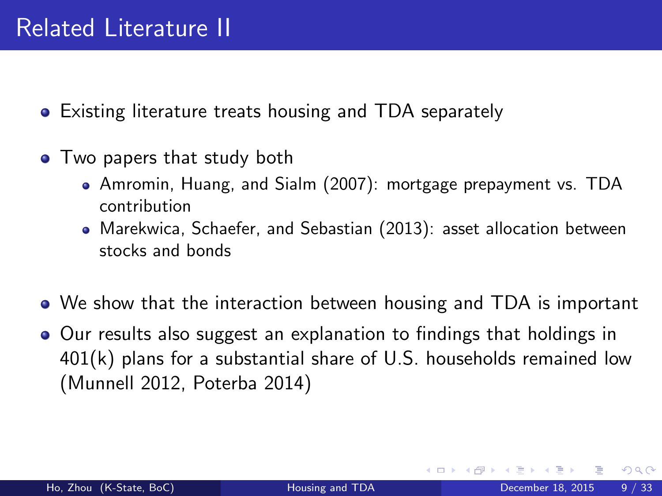## Related Literature II

- Existing literature treats housing and TDA separately
- Two papers that study both
	- Amromin, Huang, and Sialm (2007): mortgage prepayment vs. TDA contribution
	- Marekwica, Schaefer, and Sebastian (2013): asset allocation between stocks and bonds
- We show that the interaction between housing and TDA is important
- Our results also suggest an explanation to findings that holdings in  $401(k)$  plans for a substantial share of U.S. households remained low (Munnell 2012, Poterba 2014)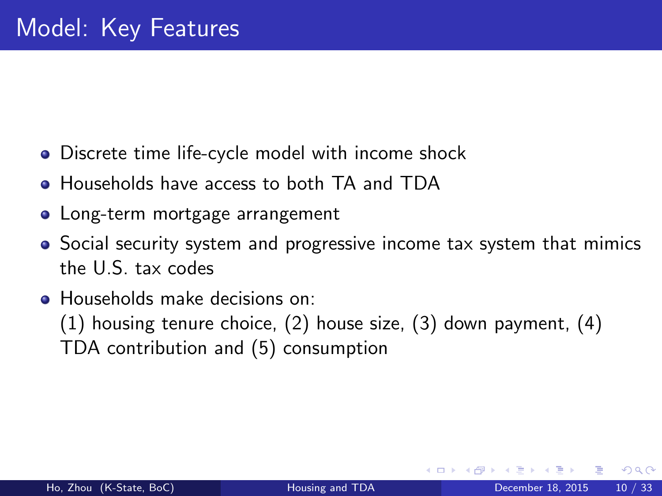- Discrete time life-cycle model with income shock
- Households have access to both TA and TDA
- Long-term mortgage arrangement
- Social security system and progressive income tax system that mimics the U.S. tax codes
- Households make decisions on:

(1) housing tenure choice, (2) house size, (3) down payment, (4) TDA contribution and (5) consumption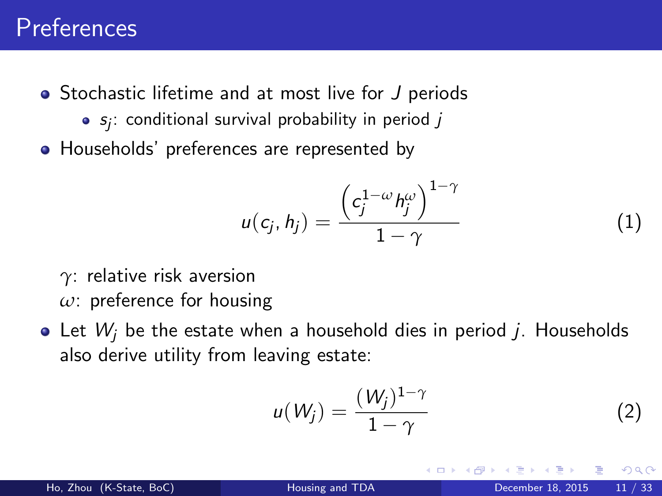## Preferences

- Stochastic lifetime and at most live for J periods
	- $s_j$ : conditional survival probability in period  $j$
- Households' preferences are represented by

$$
u(c_j, h_j) = \frac{\left(c_j^{1-\omega}h_j^{\omega}\right)^{1-\gamma}}{1-\gamma}
$$
 (1)

- *γ*: relative risk aversion *ω*: preference for housing
- $\bullet$  Let  $W_i$  be the estate when a household dies in period j. Households also derive utility from leaving estate:

$$
u(W_j) = \frac{(W_j)^{1-\gamma}}{1-\gamma}
$$
 (2)

つひひ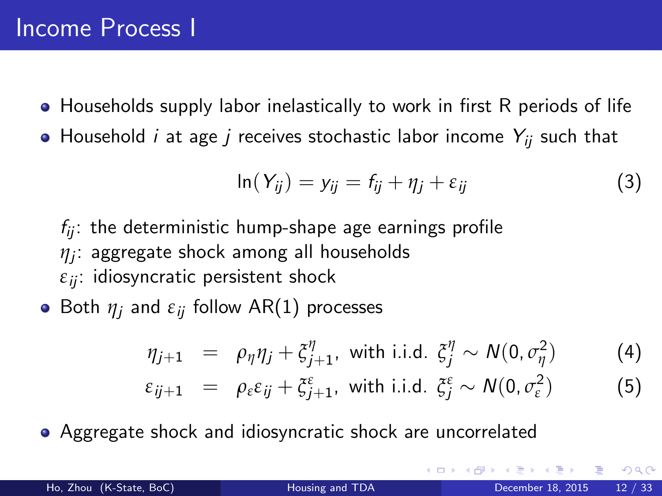- Households supply labor inelastically to work in first R periods of life
- Household *i* at age *j* receives stochastic labor income  $Y_{ii}$  such that

$$
\ln(Y_{ij}) = y_{ij} = f_{ij} + \eta_j + \varepsilon_{ij}
$$
 (3)

- $f_{ii}$ : the deterministic hump-shape age earnings profile *η*j : aggregate shock among all households  $\varepsilon_{ii}$ : idiosyncratic persistent shock
- **•** Both  $\eta_i$  and  $\varepsilon_{ii}$  follow AR(1) processes

$$
\eta_{j+1} = \rho_{\eta} \eta_j + \xi_{j+1}^{\eta}, \text{ with i.i.d. } \xi_j^{\eta} \sim N(0, \sigma_{\eta}^2) \tag{4}
$$
  

$$
\varepsilon_{ij+1} = \rho_{\varepsilon} \varepsilon_{ij} + \xi_{j+1}^{\varepsilon}, \text{ with i.i.d. } \xi_j^{\varepsilon} \sim N(0, \sigma_{\varepsilon}^2) \tag{5}
$$

Aggregate shock and idiosyncratic shock are uncorrelated

 $QQQ$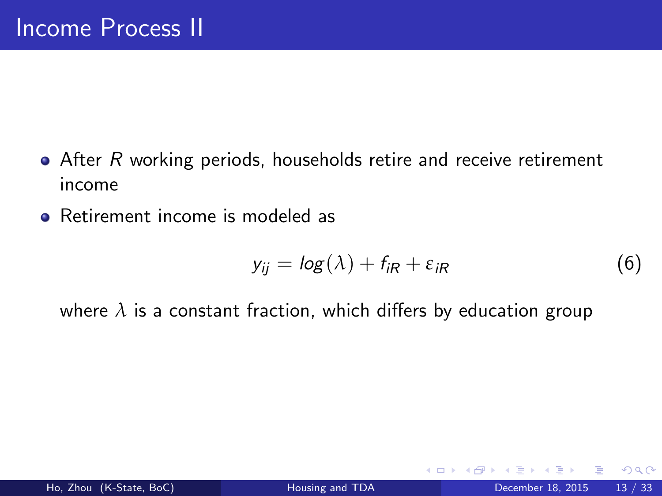- After R working periods, households retire and receive retirement income
- **•** Retirement income is modeled as

$$
y_{ij} = \log(\lambda) + f_{iR} + \varepsilon_{iR} \tag{6}
$$

where  $\lambda$  is a constant fraction, which differs by education group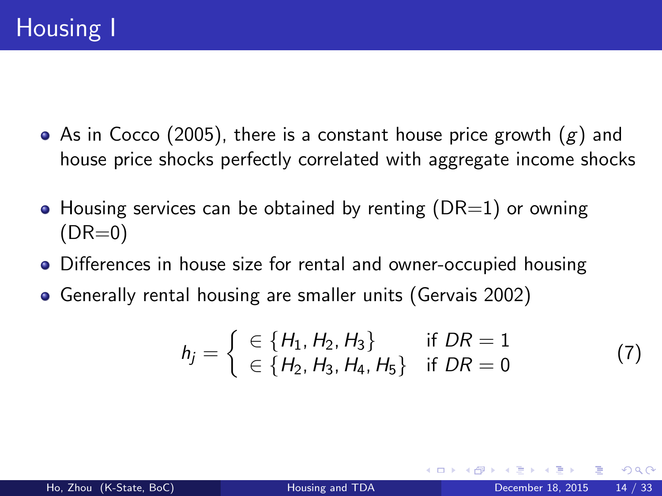- As in Cocco (2005), there is a constant house price growth  $(g)$  and house price shocks perfectly correlated with aggregate income shocks
- $\bullet$  Housing services can be obtained by renting (DR=1) or owning  $(DR=0)$
- Differences in house size for rental and owner-occupied housing
- Generally rental housing are smaller units (Gervais 2002)

$$
h_j = \begin{cases} \in \{H_1, H_2, H_3\} & \text{if } DR = 1\\ \in \{H_2, H_3, H_4, H_5\} & \text{if } DR = 0 \end{cases}
$$
(7)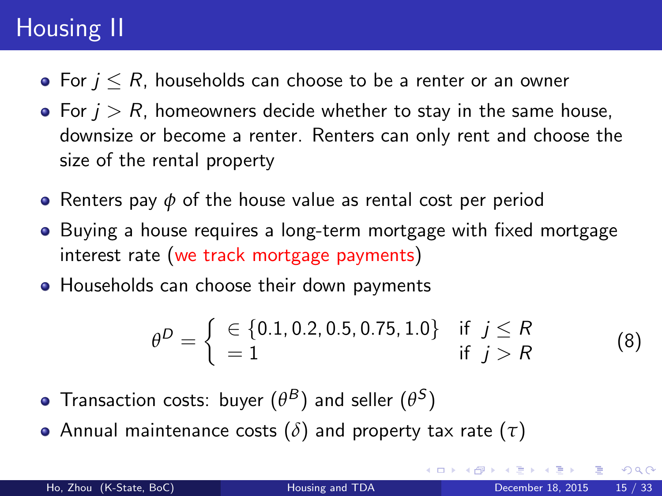# Housing II

- For  $i \leq R$ , households can choose to be a renter or an owner
- For  $j > R$ , homeowners decide whether to stay in the same house, downsize or become a renter. Renters can only rent and choose the size of the rental property
- Renters pay *φ* of the house value as rental cost per period
- Buying a house requires a long-term mortgage with fixed mortgage interest rate (we track mortgage payments)
- Households can choose their down payments

$$
\theta^D = \begin{cases} \in \{0.1, 0.2, 0.5, 0.75, 1.0\} & \text{if } j \le R \\ = 1 & \text{if } j > R \end{cases}
$$
 (8)

- Transaction costs: buyer  $(\theta^B)$  and seller  $(\theta^S)$
- Annual maintenance costs (*δ*) and property tax rate (*τ*)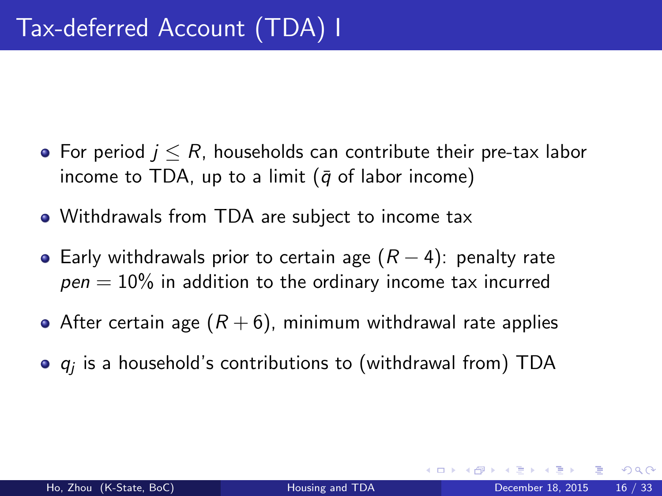- For period  $j \leq R$ , households can contribute their pre-tax labor income to TDA, up to a limit ( $\bar{q}$  of labor income)
- Withdrawals from TDA are subject to income tax
- $\bullet$  Early withdrawals prior to certain age  $(R-4)$ : penalty rate  $pen = 10\%$  in addition to the ordinary income tax incurred
- After certain age  $(R+6)$ , minimum withdrawal rate applies
- $q_j$  is a household's contributions to (withdrawal from)  $\sf TDA$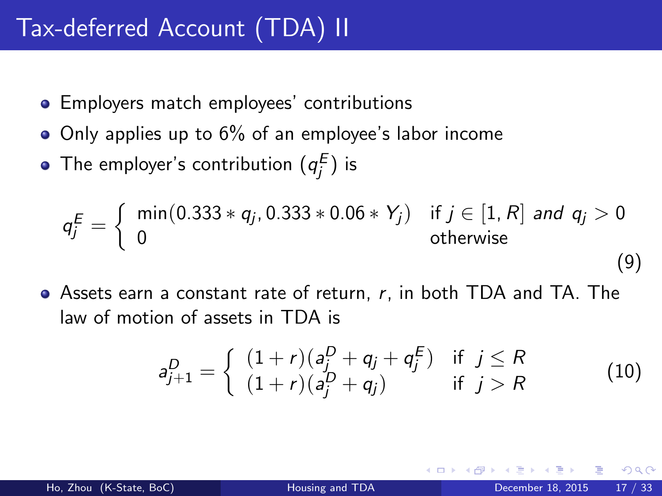# Tax-deferred Account (TDA) II

- **•** Employers match employees' contributions
- $\bullet$  Only applies up to 6% of an employee's labor income
- The employer's contribution  $(q_j^E)$  is

$$
q_j^E = \begin{cases} \min(0.333 * q_j, 0.333 * 0.06 * Y_j) & \text{if } j \in [1, R] \text{ and } q_j > 0\\ 0 & \text{otherwise} \end{cases}
$$
(9)

Assets earn a constant rate of return, r, in both TDA and TA. The law of motion of assets in TDA is

$$
a_{j+1}^D = \begin{cases} (1+r)(a_j^D + q_j + q_j^E) & \text{if } j \le R \\ (1+r)(a_j^D + q_j) & \text{if } j > R \end{cases}
$$
 (10)

つひひ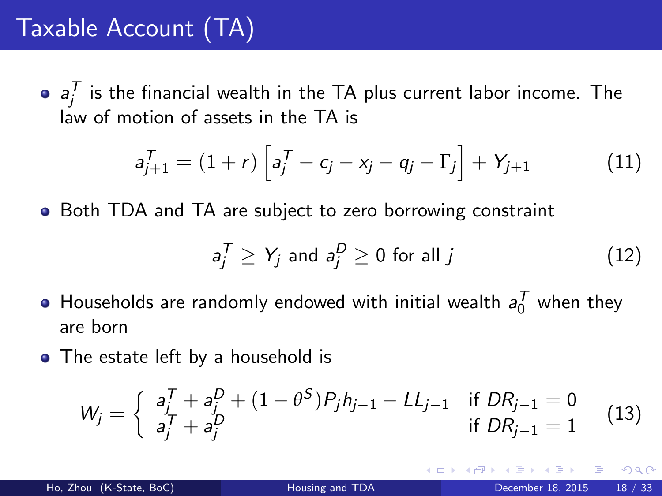# Taxable Account (TA)

 $a_j^{\mathcal T}$  is the financial wealth in the TA plus current labor income. The law of motion of assets in the TA is

$$
a_{j+1}^T = (1+r)\left[a_j^T - c_j - x_j - q_j - \Gamma_j\right] + Y_{j+1}
$$
 (11)

• Both TDA and TA are subject to zero borrowing constraint

$$
a_j^T \ge Y_j \text{ and } a_j^D \ge 0 \text{ for all } j \tag{12}
$$

- Households are randomly endowed with initial wealth  $a_0^{\mathcal T}$  when they are born
- The estate left by a household is

$$
W_j = \begin{cases} a_j^T + a_j^D + (1 - \theta^S) P_j h_{j-1} - L L_{j-1} & \text{if } DR_{j-1} = 0\\ a_j^T + a_j^D & \text{if } DR_{j-1} = 1 \end{cases}
$$
(13)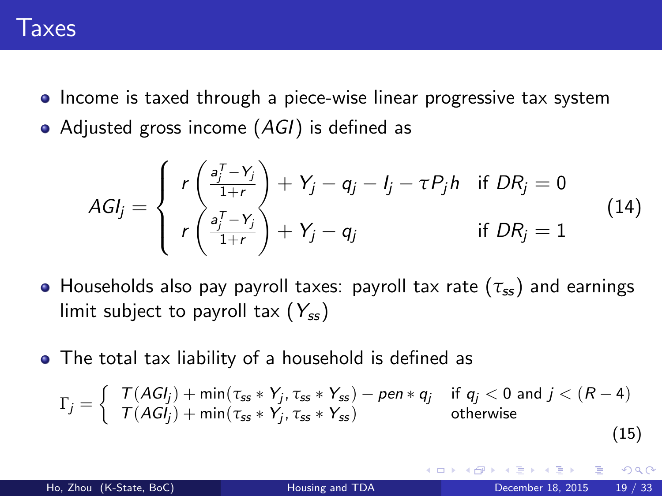

- Income is taxed through a piece-wise linear progressive tax system
- Adjusted gross income (AGI) is defined as

$$
AGI_j = \begin{cases} r\left(\frac{a_j^T - Y_j}{1+r}\right) + Y_j - q_j - I_j - \tau P_j h & \text{if } DR_j = 0\\ r\left(\frac{a_j^T - Y_j}{1+r}\right) + Y_j - q_j & \text{if } DR_j = 1 \end{cases}
$$
(14)

- Households also pay payroll taxes: payroll tax rate  $(\tau_{ss})$  and earnings limit subject to payroll tax  $(Y_{ss})$
- The total tax liability of a household is defined as

$$
\Gamma_j = \left\{ \begin{array}{ll} \nabla (AGl_j) + \min(\tau_{ss} * Y_j, \tau_{ss} * Y_{ss}) - \text{pen} * q_j & \text{if } q_j < 0 \text{ and } j < (R-4) \\ \nabla (AGl_j) + \min(\tau_{ss} * Y_j, \tau_{ss} * Y_{ss}) & \text{otherwise} \n\end{array} \right. \tag{15}
$$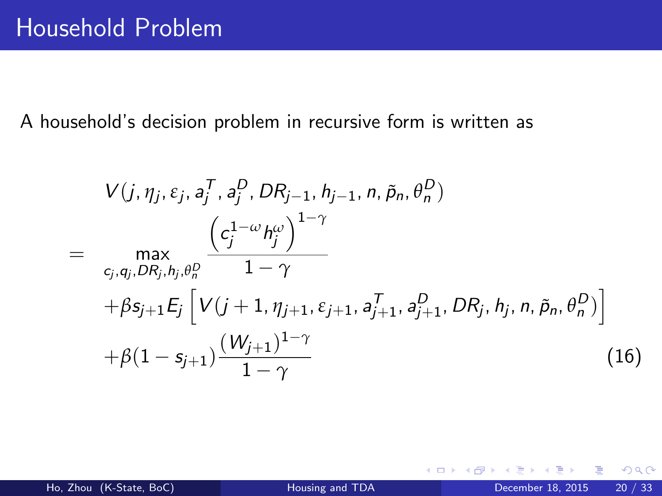A household's decision problem in recursive form is written as

$$
V(j, \eta_j, \varepsilon_j, a_j^T, a_j^D, DR_{j-1}, h_{j-1}, n, \tilde{p}_n, \theta_n^D)
$$
  
= 
$$
\max_{c_j, q_j, DR_j, h_j, \theta_n^D} \frac{\left(c_j^{1-\omega}h_j^{\omega}\right)^{1-\gamma}}{1-\gamma} + \beta s_{j+1} E_j \left[V(j+1, \eta_{j+1}, \varepsilon_{j+1}, a_{j+1}^T, a_{j+1}^D, DR_j, h_j, n, \tilde{p}_n, \theta_n^D)\right] + \beta (1 - s_{j+1}) \frac{(W_{j+1})^{1-\gamma}}{1-\gamma}
$$
(16)

4 0 8

э

 $QQ$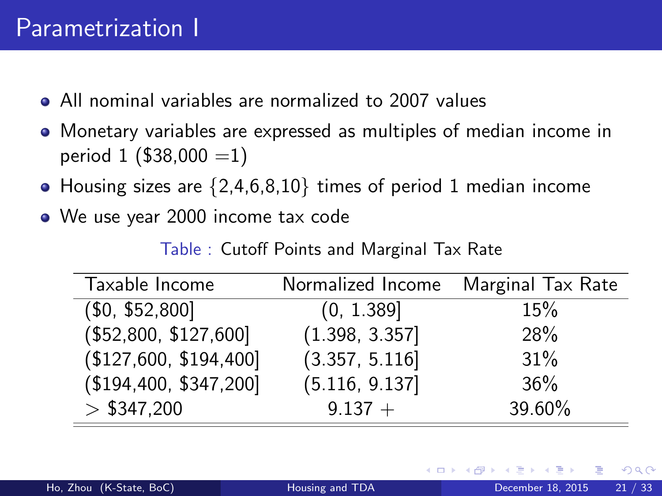## Parametrization I

- All nominal variables are normalized to 2007 values
- Monetary variables are expressed as multiples of median income in period 1 ( $$38,000 =1$ )
- $\bullet$  Housing sizes are  $\{2,4,6,8,10\}$  times of period 1 median income
- We use year 2000 income tax code

Table : Cutoff Points and Marginal Tax Rate

| Taxable Income        | Normalized Income Marginal Tax Rate |        |
|-----------------------|-------------------------------------|--------|
| (\$0, \$52,800]       | (0, 1.389]                          | 15%    |
| (\$52,800, \$127,600] | (1.398, 3.357]                      | 28%    |
| \$127,600, \$194,400] | (3.357, 5.116]                      | 31%    |
| \$194,400, \$347,200] | (5.116, 9.137)                      | 36%    |
| $>$ \$347,200         | $9.137 +$                           | 39.60% |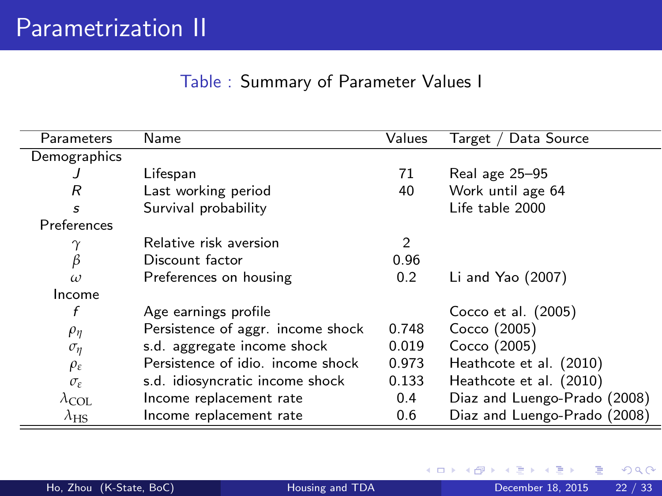#### Table : Summary of Parameter Values I

| Parameters             | Name                              | Values | Data Source<br>Target /      |
|------------------------|-----------------------------------|--------|------------------------------|
| Demographics           |                                   |        |                              |
| J                      | Lifespan                          | 71     | Real age 25–95               |
| R                      | Last working period               | 40     | Work until age 64            |
| S                      | Survival probability              |        | Life table 2000              |
| Preferences            |                                   |        |                              |
|                        | Relative risk aversion            | 2      |                              |
| $\beta$                | Discount factor                   | 0.96   |                              |
| $\omega$               | Preferences on housing            | 0.2    | Li and Yao $(2007)$          |
| Income                 |                                   |        |                              |
| f                      | Age earnings profile              |        | Cocco et al. (2005)          |
| $\rho_{\eta}$          | Persistence of aggr. income shock | 0.748  | Cocco (2005)                 |
| $\sigma_{\eta}$        | s.d. aggregate income shock       | 0.019  | Cocco (2005)                 |
| $\rho_{\varepsilon}$   | Persistence of idio. income shock | 0.973  | Heathcote et al. (2010)      |
| $\sigma_{\varepsilon}$ | s.d. idiosyncratic income shock   | 0.133  | Heathcote et al. (2010)      |
| $\lambda_{\text{COL}}$ | Income replacement rate           | 0.4    | Diaz and Luengo-Prado (2008) |
| $\lambda_{\rm HS}$     | Income replacement rate           | 0.6    | Diaz and Luengo-Prado (2008) |

4 0 8 ∢母 э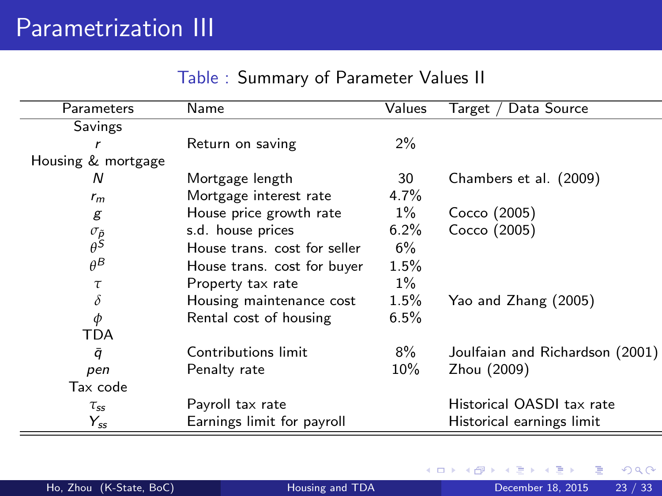|  |  |  | Table: Summary of Parameter Values II |  |  |  |
|--|--|--|---------------------------------------|--|--|--|
|--|--|--|---------------------------------------|--|--|--|

| Parameters               | Name                         | Values  | ' Data Source<br>Target /       |
|--------------------------|------------------------------|---------|---------------------------------|
| Savings                  |                              |         |                                 |
| r                        | Return on saving             | $2\%$   |                                 |
| Housing & mortgage       |                              |         |                                 |
| N                        | Mortgage length              | 30      | Chambers et al. (2009)          |
| $r_m$                    | Mortgage interest rate       | $4.7\%$ |                                 |
| g                        | House price growth rate      | $1\%$   | Cocco (2005)                    |
| $\sigma_{\tilde{\beta}}$ | s.d. house prices            | $6.2\%$ | Cocco (2005)                    |
|                          | House trans. cost for seller | $6\%$   |                                 |
| $\theta^B$               | House trans. cost for buyer  | $1.5\%$ |                                 |
| τ                        | Property tax rate            | $1\%$   |                                 |
| $\delta$                 | Housing maintenance cost     | $1.5\%$ | Yao and Zhang (2005)            |
| $\phi$                   | Rental cost of housing       | 6.5%    |                                 |
| TDA                      |                              |         |                                 |
| ā                        | Contributions limit          | $8\%$   | Joulfaian and Richardson (2001) |
| pen                      | Penalty rate                 | $10\%$  | Zhou (2009)                     |
| Tax code                 |                              |         |                                 |
| $\tau_{ss}$              | Payroll tax rate             |         | Historical OASDI tax rate       |
| $Y_{ss}$                 | Earnings limit for payroll   |         | Historical earnings limit       |

K ロ ⊁ K 個 ≯ K 君 ⊁ K 君 ≯

画  $-990$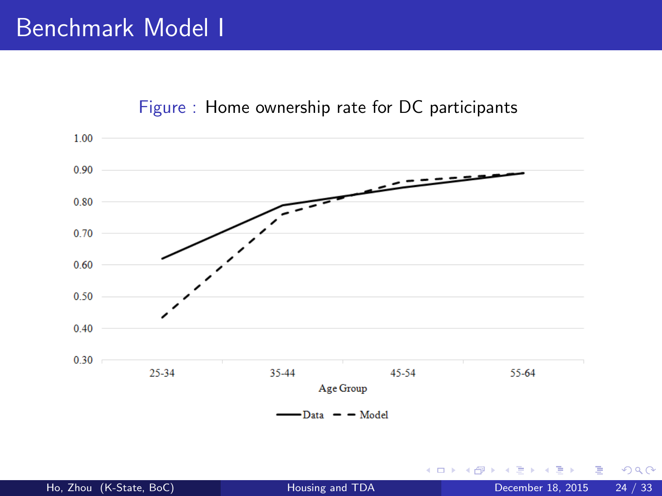

#### Figure : Home ownership rate for DC participants

4 0 8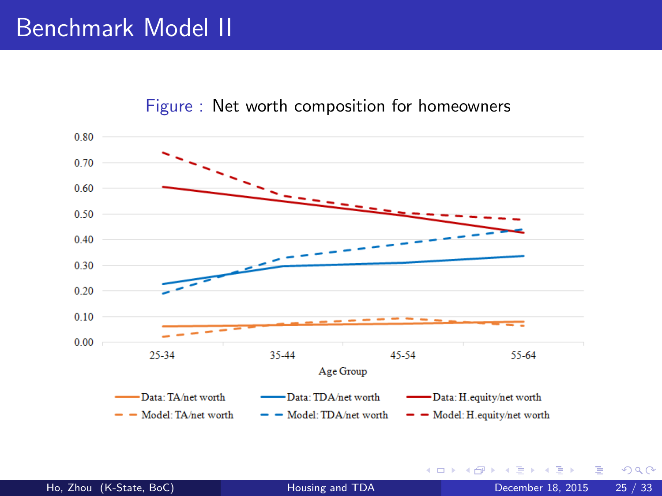## Benchmark Model II



#### Figure : Net worth composition for homeowners

Ho, Zhou (K-State, BoC) **[Housing and TDA](#page-0-0)** December 18, 2015 25 / 33

4 0 8

 $QQ$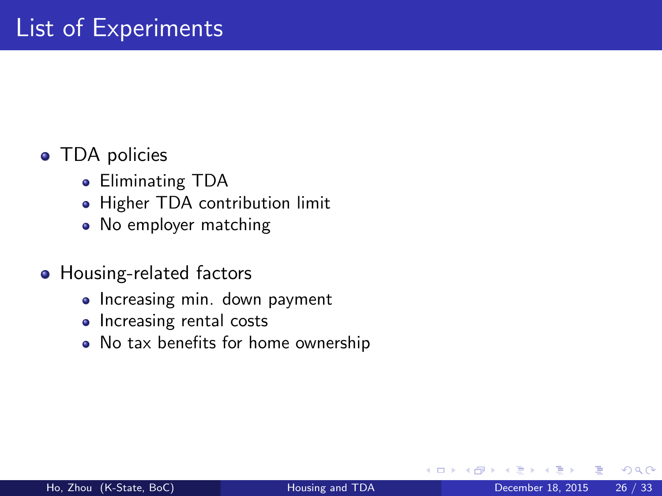### • TDA policies

- Eliminating TDA
- Higher TDA contribution limit
- No employer matching

#### • Housing-related factors

- Increasing min. down payment
- Increasing rental costs
- No tax benefits for home ownership

**∢ ⊡**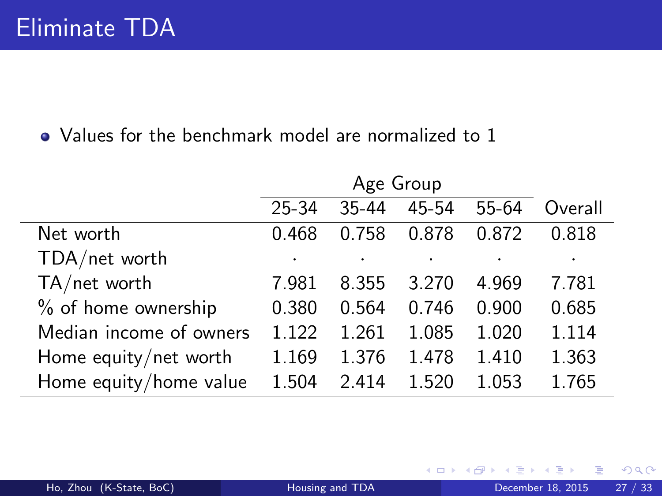|                         | Age Group |       |       |       |         |
|-------------------------|-----------|-------|-------|-------|---------|
|                         | 25-34     | 35-44 | 45-54 | 55-64 | Overall |
| Net worth               | 0.468     | 0.758 | 0.878 | 0.872 | 0.818   |
| TDA/net worth           |           |       |       |       |         |
| TA/net worth            | 7.981     | 8.355 | 3.270 | 4.969 | 7.781   |
| % of home ownership     | 0.380     | 0.564 | 0.746 | 0.900 | 0.685   |
| Median income of owners | 1 1 2 2   | 1.261 | 1.085 | 1.020 | 1.114   |
| Home equity/net worth   | 1.169     | 1.376 | 1.478 | 1.410 | 1.363   |
| Home equity/home value  | 1.504     | 2.414 | 1.520 | 1.053 | 1.765   |

**∢ ロ ▶ ィ 何** 

 $299$ 

э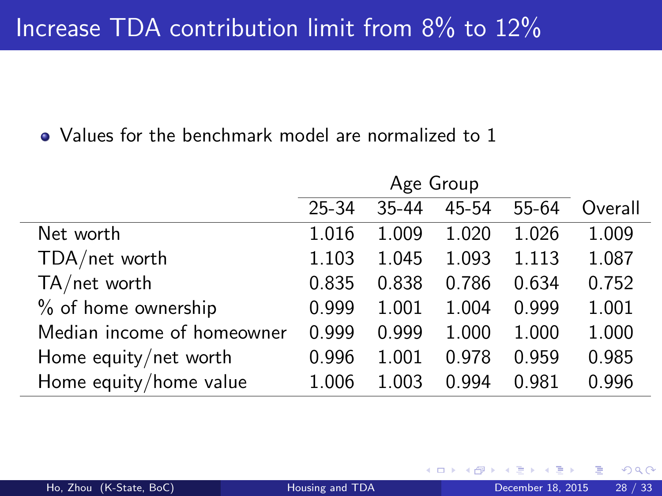|                            |           | Age Group |       |       |         |
|----------------------------|-----------|-----------|-------|-------|---------|
|                            | $25 - 34$ | 35-44     | 45-54 | 55-64 | Overall |
| Net worth                  | 1.016     | 1.009     | 1.020 | 1.026 | 1.009   |
| TDA/net worth              | 1.103     | 1.045     | 1.093 | 1.113 | 1.087   |
| $TA/net$ worth             | 0.835     | 0.838     | 0.786 | 0.634 | 0.752   |
| % of home ownership        | 0.999     | 1.001     | 1.004 | 0.999 | 1.001   |
| Median income of homeowner | 0.999     | 0.999     | 1.000 | 1.000 | 1.000   |
| Home equity/net worth      | 0.996     | 1.001     | 0.978 | 0.959 | 0.985   |
| Home equity/home value     | 1.006     | 1.003     | 0.994 | 0.981 | 0.996   |

4 0 8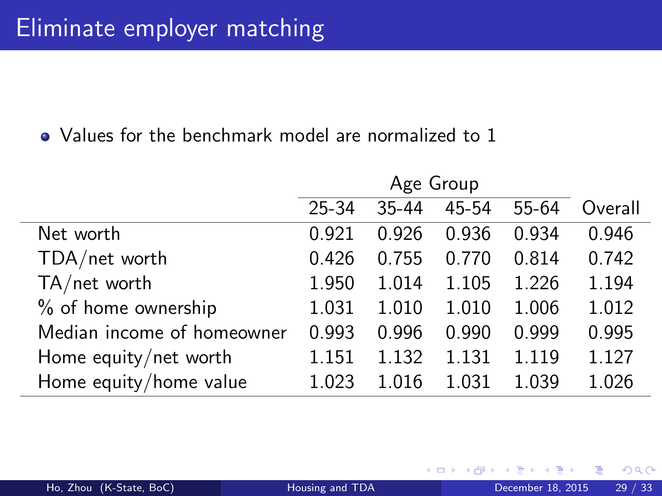|                            | Age Group |       |       |       |         |
|----------------------------|-----------|-------|-------|-------|---------|
|                            | 25-34     | 35-44 | 45-54 | 55-64 | Overall |
| Net worth                  | 0.921     | 0.926 | 0.936 | 0.934 | 0.946   |
| TDA/net worth              | 0.426     | 0.755 | 0.770 | 0.814 | 0.742   |
| TA/net worth               | 1.950     | 1.014 | 1.105 | 1.226 | 1.194   |
| % of home ownership        | 1.031     | 1.010 | 1.010 | 1.006 | 1.012   |
| Median income of homeowner | 0.993     | 0.996 | 0.990 | 0.999 | 0.995   |
| Home equity/net worth      | 1.151     | 1.132 | 1.131 | 1.119 | 1.127   |
| Home equity/home value     | 1.023     | 1.016 | 1.031 | 1.039 | 1.026   |

4 0 8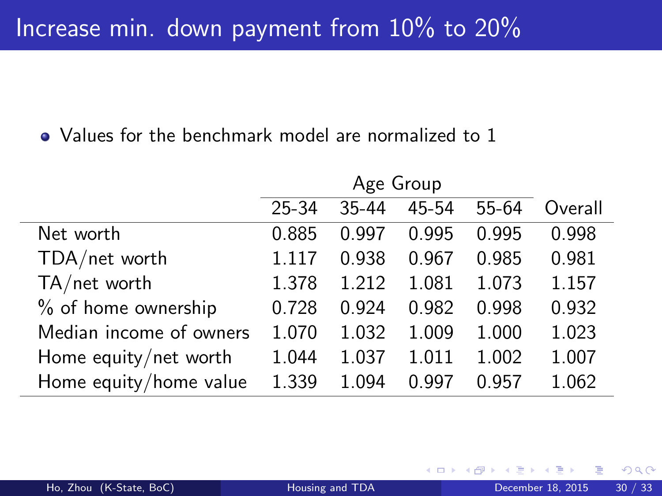|                         | Age Group |           |       |       |         |  |
|-------------------------|-----------|-----------|-------|-------|---------|--|
|                         | 25-34     | $35 - 44$ | 45-54 | 55-64 | Overall |  |
| Net worth               | 0.885     | 0.997     | 0.995 | 0.995 | 0.998   |  |
| TDA/net worth           | 1.117     | 0.938     | 0.967 | 0.985 | 0.981   |  |
| TA/net worth            | 1.378     | 1.212     | 1.081 | 1.073 | 1.157   |  |
| % of home ownership     | 0.728     | 0.924     | 0.982 | 0.998 | 0.932   |  |
| Median income of owners | 1.070     | 1.032     | 1.009 | 1.000 | 1.023   |  |
| Home equity/net worth   | 1.044     | 1.037     | 1.011 | 1.002 | 1.007   |  |
| Home equity/home value  | 1.339     | 1.094     | 0.997 | 0.957 | 1.062   |  |

 $\leftarrow$   $\Box$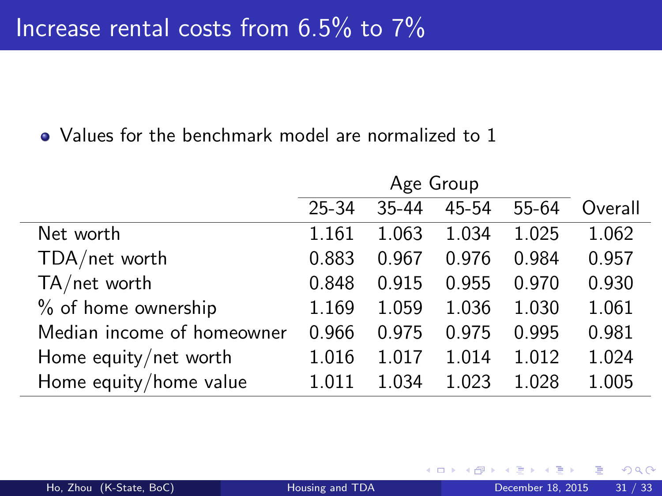|                            |       | Age Group |       |       |         |
|----------------------------|-------|-----------|-------|-------|---------|
|                            | 25-34 | 35-44     | 45-54 | 55-64 | Overall |
| Net worth                  | 1.161 | 1.063     | 1.034 | 1.025 | 1.062   |
| TDA/net worth              | 0.883 | 0.967     | 0.976 | 0.984 | 0.957   |
| $TA/net$ worth             | 0.848 | 0.915     | 0.955 | 0.970 | 0.930   |
| % of home ownership        | 1.169 | 1.059     | 1.036 | 1.030 | 1.061   |
| Median income of homeowner | 0.966 | 0.975     | 0.975 | 0.995 | 0.981   |
| Home equity/net worth      | 1.016 | 1.017     | 1.014 | 1.012 | 1.024   |
| Home equity/home value     | 1 011 | 1.034     | 1.023 | 1.028 | 1.005   |

4 0 8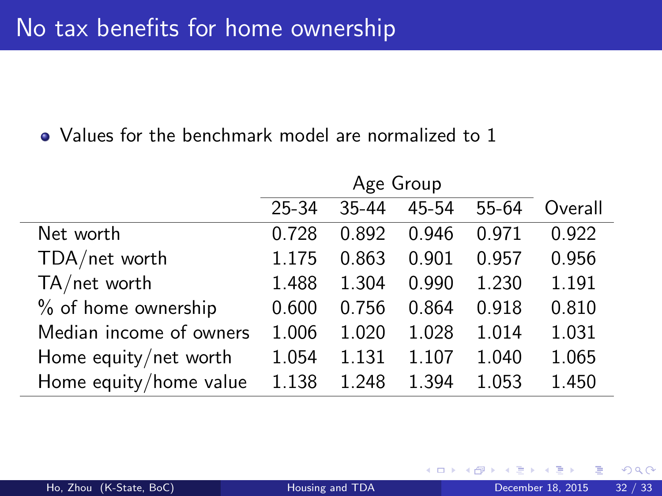|                         | Age Group |       |       |         |         |  |
|-------------------------|-----------|-------|-------|---------|---------|--|
|                         | 25-34     | 35-44 | 45-54 | $55-64$ | Overall |  |
| Net worth               | 0.728     | 0.892 | 0.946 | 0.971   | 0.922   |  |
| TDA/net worth           | 1.175     | 0.863 | 0.901 | 0.957   | 0.956   |  |
| $TA/net$ worth          | 1.488     | 1.304 | 0.990 | 1.230   | 1.191   |  |
| % of home ownership     | 0.600     | 0.756 | 0.864 | 0.918   | 0.810   |  |
| Median income of owners | 1.006     | 1.020 | 1.028 | 1.014   | 1.031   |  |
| Home equity/net worth   | 1.054     | 1.131 | 1.107 | 1.040   | 1.065   |  |
| Home equity/home value  | 1.138     | 1.248 | 1.394 | 1.053   | 1.450   |  |

4 0 8